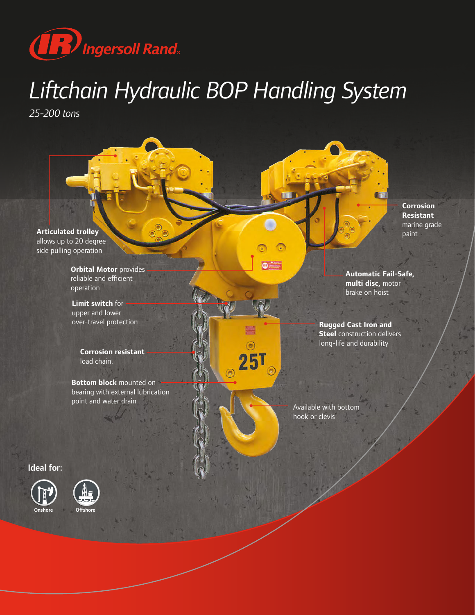

# *Liftchain Hydraulic BOP Handling System*

◉

*25-200 tons*

**Articulated trolley** allows up to 20 degree side pulling operation

> **Orbital Motor** provides reliable and efficient operation

**Limit switch** for upper and lower over-travel protection

> **Corrosion resistant**  load chain.

**Bottom block** mounted on bearing with external lubrication point and water drain

Ideal for:





**Corrosion Resistant**  marine grade paint

**Automatic Fail-Safe, multi disc,** motor brake on hoist

**Rugged Cast Iron and Steel** construction delivers long-life and durability

Available with bottom hook or clevis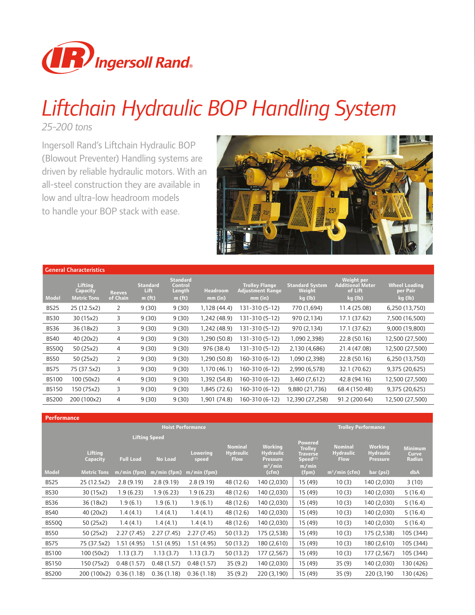

## *Liftchain Hydraulic BOP Handling System*

*25-200 tons*

Ingersoll Rand's Liftchain Hydraulic BOP (Blowout Preventer) Handling systems are driven by reliable hydraulic motors. With an all-steel construction they are available in low and ultra-low headroom models to handle your BOP stack with ease.



|              | <b>General Characteristics</b>                          |                           |                                               |                                                            |                            |                                                      |                                             |                                                                    |                                             |
|--------------|---------------------------------------------------------|---------------------------|-----------------------------------------------|------------------------------------------------------------|----------------------------|------------------------------------------------------|---------------------------------------------|--------------------------------------------------------------------|---------------------------------------------|
| <b>Model</b> | <b>Lifting</b><br><b>Capacity</b><br><b>Metric Tons</b> | <b>Reeves</b><br>of Chain | <b>Standard</b><br>Lift<br>m(f <sub>t</sub> ) | <b>Standard</b><br>Control<br>Length<br>m(f <sub>t</sub> ) | <b>Headroom</b><br>mm (in) | <b>Trolley Flange</b><br>Adjustment Range<br>mm (in) | <b>Standard System</b><br>Weight<br>kg (lb) | <b>Weight per</b><br><b>Additional Meter</b><br>of Lift<br>kg (lb) | <b>Wheel Loading</b><br>per Pair<br>kg (lb) |
| <b>BS25</b>  | 25 (12.5x2)                                             | 2                         | 9(30)                                         | 9(30)                                                      | 1,128 (44.4)               | 131-310 (5-12)                                       | 770 (1,694)                                 | 11.4 (25.08)                                                       | 6,250 (13,750)                              |
| <b>BS30</b>  | 30 (15x2)                                               | 3                         | 9(30)                                         | 9(30)                                                      | (48.9) 242                 | 131-310 (5-12)                                       | 970 (2,134)                                 | 17.1 (37.62)                                                       | 7,500 (16,500)                              |
| <b>BS36</b>  | 36 (18x2)                                               | 3                         | 9(30)                                         | 9(30)                                                      | 1,242 (48.9)               | 131-310 (5-12)                                       | 970 (2,134)                                 | 17.1 (37.62)                                                       | 9,000 (19,800)                              |
| <b>BS40</b>  | 40 (20x2)                                               | 4                         | 9(30)                                         | 9(30)                                                      | 1,290 (50.8)               | 131-310 (5-12)                                       | 1,090 2,398)                                | 22.8 (50.16)                                                       | 12,500 (27,500)                             |
| BS50Q        | 50 (25x2)                                               | 4                         | 9(30)                                         | 9(30)                                                      | 976 (38.4)                 | 131-310 (5-12)                                       | 2,130 (4,686)                               | 21.4 (47.08)                                                       | 12,500 (27,500)                             |
| <b>BS50</b>  | 50 (25x2)                                               | 2                         | 9(30)                                         | 9(30)                                                      | 1,290 (50.8)               | 160-310 (6-12)                                       | 1,090 (2,398)                               | 22.8 (50.16)                                                       | 6,250 (13,750)                              |
| <b>BS75</b>  | 75 (37.5x2)                                             | 3                         | 9(30)                                         | 9(30)                                                      | 1,170 (46.1)               | 160-310 (6-12)                                       | 2,990 (6,578)                               | 32.1 (70.62)                                                       | 9,375 (20,625)                              |
| <b>BS100</b> | 100 (50x2)                                              | 4                         | 9(30)                                         | 9(30)                                                      | 1,392 (54.8)               | 160-310 (6-12)                                       | 3,460 (7,612)                               | 42.8 (94.16)                                                       | 12,500 (27,500)                             |
| <b>BS150</b> | 150 (75x2)                                              | 3                         | 9(30)                                         | 9(30)                                                      | 1,845 (72.6)               | 160-310 (6-12)                                       | 9,880 (21,736)                              | 68.4 (150.48)                                                      | 9,375 (20,625)                              |
| <b>BS200</b> | 200 (100x2)                                             | 4                         | 9(30)                                         | 9(30)                                                      | (74.8) 901.                | 160-310 (6-12)                                       | 12,390 (27,258)                             | 91.2 (200.64)                                                      | 12,500 (27,500)                             |

| <b>Performance</b> |                     |                  |                                        |                          |                                                   |                                                       |                                                               |                                                   |                                                       |                                   |
|--------------------|---------------------|------------------|----------------------------------------|--------------------------|---------------------------------------------------|-------------------------------------------------------|---------------------------------------------------------------|---------------------------------------------------|-------------------------------------------------------|-----------------------------------|
|                    |                     |                  |                                        | <b>Hoist Performance</b> |                                                   |                                                       |                                                               | <b>Trolley Performance</b>                        |                                                       |                                   |
|                    | Lifting<br>Capacity | <b>Full Load</b> | <b>Lifting Speed</b><br><b>No Load</b> | <b>Lowering</b><br>speed | <b>Nominal</b><br><b>Hydraulic</b><br><b>Flow</b> | <b>Working</b><br><b>Hydraulic</b><br><b>Pressure</b> | Powered<br><b>Trolley</b><br>Traverse<br>Speed <sup>(1)</sup> | <b>Nominal</b><br><b>Hydraulic</b><br><b>Flow</b> | <b>Working</b><br><b>Hydraulic</b><br><b>Pressure</b> | <b>Minimum</b><br>Curve<br>Radius |
| <b>Model</b>       | <b>Metric Tons</b>  | m/min (fpm)      | m/min (fpm)                            | $m/min$ (fpm)            |                                                   | $m^3/m$ in<br>(cfm)                                   | m/min<br>(fpm)                                                | $m^3/m$ in (cfm)                                  | bar (psi)                                             | dbA                               |
| <b>BS25</b>        | 25 (12.5x2)         | 2.8(9.19)        | 2.8(9.19)                              | 2.8(9.19)                | 48 (12.6)                                         | 140 (2,030)                                           | 15 (49)                                                       | 10(3)                                             | 140 (2,030)                                           | 3(10)                             |
| <b>BS30</b>        | 30 (15x2)           | 1.9(6.23)        | 1.9(6.23)                              | 1.9(6.23)                | 48 (12.6)                                         | 140 (2,030)                                           | 15 (49)                                                       | 10(3)                                             | 140 (2,030)                                           | 5(16.4)                           |
| <b>BS36</b>        | 36 (18x2)           | 1.9(6.1)         | 1.9(6.1)                               | 1.9(6.1)                 | 48 (12.6)                                         | 140 (2,030)                                           | 15 (49)                                                       | 10(3)                                             | 140 (2,030)                                           | 5(16.4)                           |
| <b>BS40</b>        | 40 (20x2)           | 1.4(4.1)         | 1.4(4.1)                               | 1.4(4.1)                 | 48 (12.6)                                         | 140 (2,030)                                           | 15 (49)                                                       | 10(3)                                             | 140 (2,030)                                           | 5(16.4)                           |
| <b>BS50Q</b>       | 50 (25x2)           | 1.4(4.1)         | 1.4(4.1)                               | 1.4(4.1)                 | 48 (12.6)                                         | 140 (2,030)                                           | 15 (49)                                                       | 10(3)                                             | 140 (2,030)                                           | 5(16.4)                           |
| <b>BS50</b>        | 50 (25x2)           | 2.27(7.45)       | 2.27(7.45)                             | 2.27 (7.45)              | 50 (13.2)                                         | 175 (2,538)                                           | 15 (49)                                                       | 10(3)                                             | 175 (2,538)                                           | 105 (344)                         |
| <b>BS75</b>        | 75 (37.5x2)         | 1.51(4.95)       | 1.51 (4.95)                            | 1.51(4.95)               | 50 (13.2)                                         | 180 (2,610)                                           | 15 (49)                                                       | 10(3)                                             | 180 (2,610)                                           | 105 (344)                         |
| <b>BS100</b>       | 100 (50x2)          | 1.13(3.7)        | 1.13(3.7)                              | 1.13(3.7)                | 50 (13.2)                                         | 177 (2,567)                                           | 15 (49)                                                       | 10(3)                                             | 177 (2,567)                                           | 105 (344)                         |
| <b>BS150</b>       | 150 (75x2)          | 0.48(1.57)       | 0.48(1.57)                             | 0.48(1.57)               | 35(9.2)                                           | 140 (2,030)                                           | 15 (49)                                                       | 35(9)                                             | 140 (2,030)                                           | 130 (426)                         |
| <b>BS200</b>       | 200 (100x2)         | 0.36(1.18)       | 0.36(1.18)                             | 0.36(1.18)               | 35(9.2)                                           | 220 (3,190)                                           | 15 (49)                                                       | 35(9)                                             | 220 (3,190)                                           | 130 (426)                         |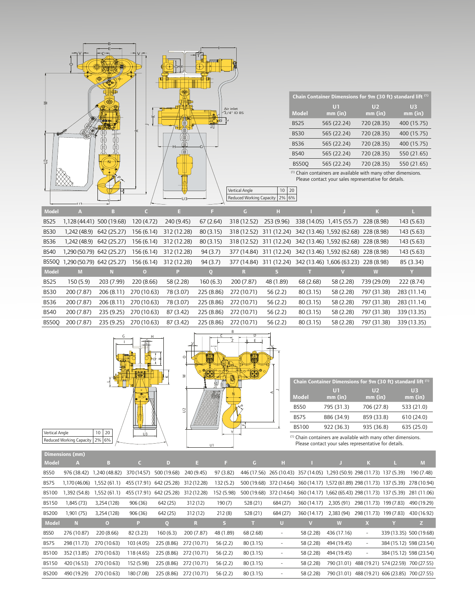

|              | Chain Container Dimensions for 9m (30 ft) standard lift (1) |                           |                             |
|--------------|-------------------------------------------------------------|---------------------------|-----------------------------|
| <b>Model</b> | Oπ<br>mm (in)                                               | U <sub>2</sub><br>mm (in) | $\overline{U}$ 3<br>mm (in) |
| <b>BS25</b>  | 565 (22.24)                                                 | 720 (28.35)               | 400 (15.75)                 |
| <b>BS30</b>  | 565 (22.24)                                                 | 720 (28.35)               | 400 (15.75)                 |
| <b>BS36</b>  | 565 (22.24)                                                 | 720 (28.35)               | 400 (15.75)                 |
| <b>BS40</b>  | 565 (22.24)                                                 | 720 (28.35)               | 550 (21.65)                 |
| <b>BS500</b> | 565 (22.24)                                                 | 720 (28.35)               | 550 (21.65)                 |

 $<sup>(1)</sup>$  Chain containers are available with many other dimensions.</sup> Please contact your sales representative for details.

| Model        | $\mathbf{A}$                    | в                        | c.          | E                      | F           | G.          | н          |           |                                                              | K           |             |
|--------------|---------------------------------|--------------------------|-------------|------------------------|-------------|-------------|------------|-----------|--------------------------------------------------------------|-------------|-------------|
| <b>BS25</b>  | 1,128 (44.41) 500 (19.68)       |                          | 120 (4.72)  | 240 (9.45)             | 67 (2.64)   | 318 (12.52) | 253 (9.96) |           | 338 (14.05) 1,415 (55.7) 228 (8.98)                          |             | 143 (5.63)  |
| BS30         |                                 | 1,242 (48.9) 642 (25.27) |             | 156 (6.14) 312 (12.28) | 80 (3.15)   |             |            |           | 318 (12.52) 311 (12.24) 342 (13.46) 1,592 (62.68) 228 (8.98) |             | 143 (5.63)  |
| <b>BS36</b>  | 1,242 (48.9)                    | 642 (25.27)              |             | 156 (6.14) 312 (12.28) | 80 (3.15)   |             |            |           | 318 (12.52) 311 (12.24) 342 (13.46) 1,592 (62.68) 228 (8.98) |             | 143 (5.63)  |
| <b>BS40</b>  | 1,290 (50.79) 642 (25.27)       |                          | 156 (6.14)  | 312 (12.28)            | 94 (3.7)    |             |            |           | 377 (14.84) 311 (12.24) 342 (13.46) 1,592 (62.68) 228 (8.98) |             | 143 (5.63)  |
|              | BS500 1,290 (50.79) 642 (25.27) |                          | 156 (6.14)  | 312 (12.28)            | 94(3.7)     |             |            |           | 377 (14.84) 311 (12.24) 342 (13.46) 1,606 (63.23) 228 (8.98) |             | 85 (3.34)   |
| Model        | M                               | N.                       | $\Omega$    | P.                     | $\mathbf Q$ | R           | S.         |           |                                                              | W           | Y           |
| <b>BS25</b>  | 150 (5.9)                       | 203 (7.99)               | 220 (8.66)  | 58 (2.28)              | 160 (6.3)   | 200 (7.87)  | 48 (1.89)  | 68 (2.68) | 58 (2.28)                                                    | 739 (29.09) | 222 (8.74)  |
| <b>BS30</b>  | 200 (7.87)                      | 206 (8.11)               | 270 (10.63) | 78 (3.07)              | 225 (8.86)  | 272 (10.71) | 56 (2.2)   | 80 (3.15) | 58 (2.28)                                                    | 797 (31.38) | 283 (11.14) |
| <b>BS36</b>  | 200 (7.87)                      | 206 (8.11)               | 270 (10.63) | 78 (3.07)              | 225 (8.86)  | 272 (10.71) | 56 (2.2)   | 80 (3.15) | 58 (2.28)                                                    | 797 (31.38) | 283 (11.14) |
| <b>BS40</b>  | 200 (7.87)                      | 235 (9.25)               | 270 (10.63) | 87 (3.42)              | 225 (8.86)  | 272 (10.71) | 56(2.2)    | 80 (3.15) | 58 (2.28)                                                    | 797 (31.38) | 339 (13.35) |
| <b>BS500</b> | 200 (7.87)                      | 235(9.25)                | 270 (10.63) | 87 (3.42)              | 225 (8.86)  | 272 (10.71) | 56(2.2)    | 80(3.15)  | 58 (2.28)                                                    | 797 (31.38) | 339 (13.35) |



|              | Chain Container Dimensions for 9m (30 ft) standard lift (1) |                         |                |
|--------------|-------------------------------------------------------------|-------------------------|----------------|
| Model        | UT<br>$mm$ (in)                                             | $\mathbf{U}$<br>mm (in) | UB.<br>mm (in) |
| <b>BS50</b>  | 795 (31.3)                                                  | 706 (27.8)              | 533 (21.0)     |
| <b>BS75</b>  | 886 (34.9)                                                  | 859 (33.8)              | 610 (24.0)     |
| <b>BS100</b> | 922 (36.3)                                                  | 935 (36.8)              | 635 (25.0)     |

(1) Chain containers are available with many other dimensions. Please contact your sales representative for details.

| Model        | $\mathbf{A}$ | в                            | $\epsilon$  | D.                      | E.          | E.         | $\mathsf{G}$ | н                                                                                    |             |             | $\mathbf{K}$                                    | ш | M                       |
|--------------|--------------|------------------------------|-------------|-------------------------|-------------|------------|--------------|--------------------------------------------------------------------------------------|-------------|-------------|-------------------------------------------------|---|-------------------------|
|              |              |                              |             |                         |             |            |              |                                                                                      |             |             |                                                 |   |                         |
| BS50         | 976 (38.42)  | 1,240 (48.82)                | 370 (14.57) | 500 (19.68)             | 240 (9.45)  | 97 (3.82)  |              | 446 (17.56) 265 (10.43) 357 (14.05) 1,293 (50.9) 298 (11.73) 137 (5.39)              |             |             |                                                 |   | 190 (7.48)              |
| <b>BS75</b>  |              | $1,170(46.06)$ $1,552(61.1)$ |             | 455 (17.91) 642 (25.28) | 312 (12.28) | 132(5.2)   |              | 500 (19.68) 372 (14.64) 360 (14.17) 1,572 (61.89) 298 (11.73) 137 (5.39) 278 (10.94) |             |             |                                                 |   |                         |
| <b>BS100</b> | 1,392 (54.8) | 1,552(61.1)                  | 455 (17.91) | 642 (25.28)             | 312 (12.28) | 152 (5.98) |              | 500 (19.68) 372 (14.64) 360 (14.17) 1,662 (65.43) 298 (11.73) 137 (5.39) 281 (11.06) |             |             |                                                 |   |                         |
| <b>BS150</b> | 1,845 (73)   | 3,254 (128)                  | 906 (36)    | 642 (25)                | 312 (12)    | 190(7)     | 528 (21)     | 684 (27)                                                                             | 360 (14.17) | 2,305 (91)  | 298 (11.73) 199 (7.83)                          |   | 490 (19.29)             |
| <b>BS200</b> | 1,901 (75)   | 3,254 (128)                  | 906 (36)    | 642 (25)                | 312 (12)    | 212(8)     | 528 (21)     | 684 (27)                                                                             | 360 (14.17) | 2,383 (94)  | 298 (11.73) 199 (7.83)                          |   | 430 (16.92)             |
|              |              |                              |             |                         |             |            |              |                                                                                      |             |             |                                                 |   |                         |
| Model        | N            | $\overline{0}$               | P.          | 0                       | R           | s          |              | U                                                                                    |             | W           | $\mathbf{x}$                                    |   | Z                       |
| <b>BS50</b>  | 276 (10.87)  | 220 (8.66)                   | 82 (3.23)   | 160(6.3)                | 200 (7.87)  | 48 (1.89)  | 68 (2.68)    | -                                                                                    | 58 (2.28)   | 436 (17.16) | $\overline{\phantom{a}}$                        |   | 339 (13.35) 500 (19.68) |
| <b>BS75</b>  | 298 (11.73)  | 270 (10.63)                  | 103 (4.05)  | 225 (8.86)              | 272 (10.71) | 56(2.2)    | 80 (3.15)    | -                                                                                    | 58 (2.28)   | 494 (19.45) | $\overline{\phantom{a}}$                        |   | 384 (15.12) 598 (23.54) |
| <b>BS100</b> | 352 (13.85)  | 270 (10.63)                  | 118 (4.65)  | 225 (8.86)              | 272 (10.71) | 56(2.2)    | 80 (3.15)    | ۰                                                                                    | 58 (2.28)   | 494 (19.45) | -                                               |   | 384 (15.12) 598 (23.54) |
| <b>BS150</b> | 420 (16.53)  | 270 (10.63)                  | 152 (5.98)  | 225 (8.86)              | 272 (10.71) | 56(2.2)    | 80 (3.15)    | -                                                                                    | 58 (2.28)   |             | 790 (31.01) 488 (19.21) 574 (22.59) 700 (27.55) |   |                         |